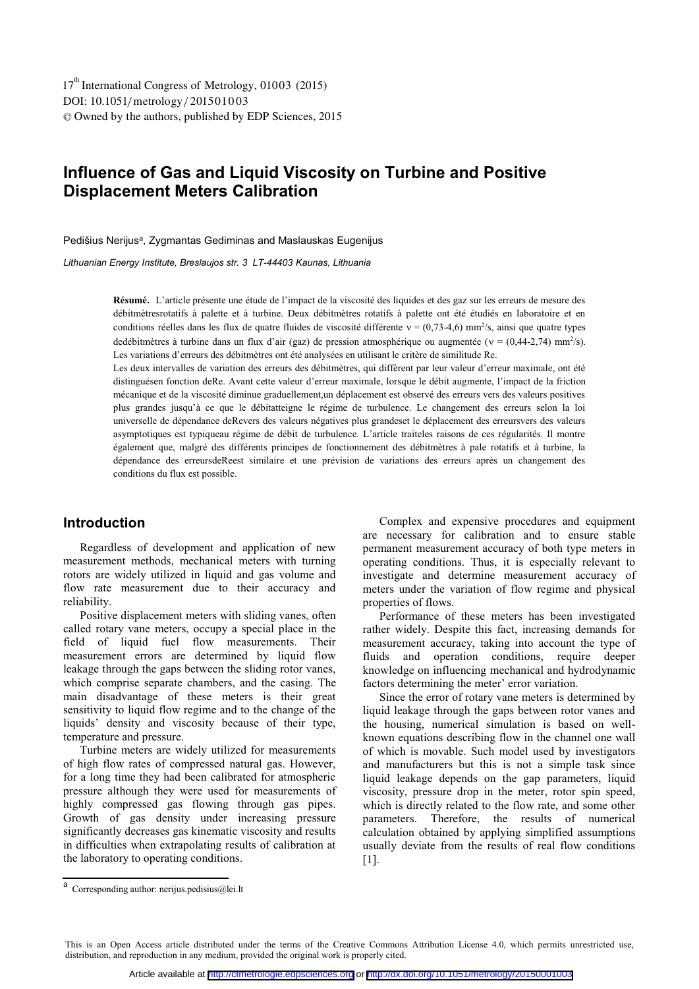# **Influence of Gas and Liquid Viscosity on Turbine and Positive Displacement Meters Calibration**

Pedišius Nerijus<sup>a</sup>, Zygmantas Gediminas and Maslauskas Eugenijus

*Lithuanian Energy Institute, Breslaujos str. 3 LT-44403 Kaunas, Lithuania* 

L'article présente une étude de l'impact de la viscosité des liquides et des gaz sur les erreurs de mesure des **Résumé.**  débitmètresrotatifs à palette et à turbine. Deux débitmètres rotatifs à palette ont été étudiés en laboratoire et en conditions réelles dans les flux de quatre fluides de viscosité différente  $v = (0.73-4.6)$  mm<sup>2</sup>/s, ainsi que quatre types dedébitmètres à turbine dans un flux d'air (gaz) de pression atmosphérique ou augmentée ( $v = (0,44-2,74)$  mm<sup>2</sup>/s). Les variations d'erreurs des débitmètres ont été analysées en utilisant le critère de similitude Re.

Les deux intervalles de variation des erreurs des débitmètres, qui diffèrent par leur valeur d'erreur maximale, ont été distinguésen fonction deRe. Avant cette valeur d'erreur maximale, lorsque le débit augmente, l'impact de la friction mécanique et de la viscosité diminue graduellement,un déplacement est observé des erreurs vers des valeurs positives plus grandes jusqu'à ce que le débitatteigne le régime de turbulence. Le changement des erreurs selon la loi universelle de dépendance deRevers des valeurs négatives plus grandeset le déplacement des erreursvers des valeurs asymptotiques est typiqueau régime de débit de turbulence. L'article traiteles raisons de ces régularités. Il montre également que, malgré des différents principes de fonctionnement des débitmètres à pale rotatifs et à turbine, la dépendance des erreursdeReest similaire et une prévision de variations des erreurs après un changement des conditions du flux est possible.

# **Introduction**

Regardless of development and application of new measurement methods, mechanical meters with turning rotors are widely utilized in liquid and gas volume and flow rate measurement due to their accuracy and reliability.

Positive displacement meters with sliding vanes, often called rotary vane meters, occupy a special place in the field of liquid fuel flow measurements. Their measurement errors are determined by liquid flow leakage through the gaps between the sliding rotor vanes, which comprise separate chambers, and the casing. The main disadvantage of these meters is their great sensitivity to liquid flow regime and to the change of the liquids' density and viscosity because of their type, temperature and pressure.

Turbine meters are widely utilized for measurements of high flow rates of compressed natural gas. However, for a long time they had been calibrated for atmospheric pressure although they were used for measurements of highly compressed gas flowing through gas pipes. Growth of gas density under increasing pressure significantly decreases gas kinematic viscosity and results in difficulties when extrapolating results of calibration at the laboratory to operating conditions.

Complex and expensive procedures and equipment are necessary for calibration and to ensure stable permanent measurement accuracy of both type meters in operating conditions. Thus, it is especially relevant to investigate and determine measurement accuracy of meters under the variation of flow regime and physical properties of flows.

Performance of these meters has been investigated rather widely. Despite this fact, increasing demands for measurement accuracy, taking into account the type of fluids and operation conditions, require deeper knowledge on influencing mechanical and hydrodynamic factors determining the meter' error variation.

Since the error of rotary vane meters is determined by liquid leakage through the gaps between rotor vanes and the housing, numerical simulation is based on wellknown equations describing flow in the channel one wall of which is movable. Such model used by investigators and manufacturers but this is not a simple task since liquid leakage depends on the gap parameters, liquid viscosity, pressure drop in the meter, rotor spin speed, which is directly related to the flow rate, and some other parameters. Therefore, the results of numerical calculation obtained by applying simplified assumptions usually deviate from the results of real flow conditions [1].

a Corresponding author: nerijus.pedisius@lei.lt

This is an Open Access article distributed under the terms of the Creative Commons Attribution License 4.0, which permits unrestricted use, distribution, and reproduction in any medium, provided the original work is properly cited.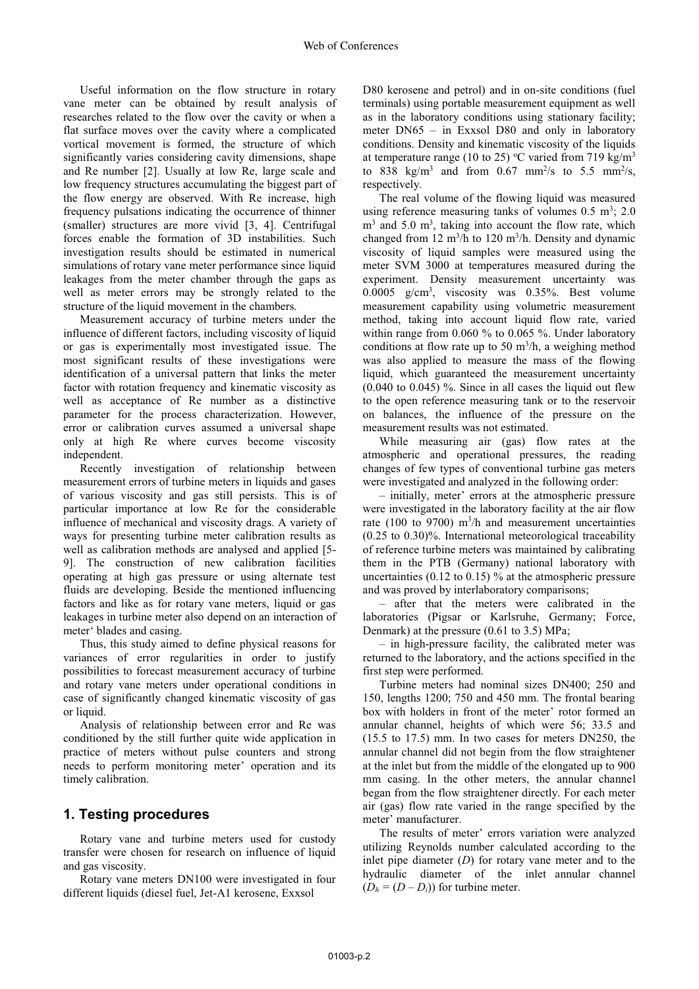Useful information on the flow structure in rotary vane meter can be obtained by result analysis of researches related to the flow over the cavity or when a flat surface moves over the cavity where a complicated vortical movement is formed, the structure of which significantly varies considering cavity dimensions, shape and Re number [2]. Usually at low Re, large scale and low frequency structures accumulating the biggest part of the flow energy are observed. With Re increase, high frequency pulsations indicating the occurrence of thinner (smaller) structures are more vivid [3, 4]. Centrifugal forces enable the formation of 3D instabilities. Such investigation results should be estimated in numerical simulations of rotary vane meter performance since liquid leakages from the meter chamber through the gaps as well as meter errors may be strongly related to the structure of the liquid movement in the chambers.

Measurement accuracy of turbine meters under the influence of different factors, including viscosity of liquid or gas is experimentally most investigated issue. The most significant results of these investigations were identification of a universal pattern that links the meter factor with rotation frequency and kinematic viscosity as well as acceptance of Re number as a distinctive parameter for the process characterization. However, error or calibration curves assumed a universal shape only at high Re where curves become viscosity independent.

Recently investigation of relationship between measurement errors of turbine meters in liquids and gases of various viscosity and gas still persists. This is of particular importance at low Re for the considerable influence of mechanical and viscosity drags. A variety of ways for presenting turbine meter calibration results as well as calibration methods are analysed and applied [5- 9]. The construction of new calibration facilities operating at high gas pressure or using alternate test fluids are developing. Beside the mentioned influencing factors and like as for rotary vane meters, liquid or gas leakages in turbine meter also depend on an interaction of meter' blades and casing.

Thus, this study aimed to define physical reasons for variances of error regularities in order to justify possibilities to forecast measurement accuracy of turbine and rotary vane meters under operational conditions in case of significantly changed kinematic viscosity of gas or liquid.

Analysis of relationship between error and Re was conditioned by the still further quite wide application in practice of meters without pulse counters and strong needs to perform monitoring meter' operation and its timely calibration.

## **1. Testing procedures**

Rotary vane and turbine meters used for custody transfer were chosen for research on influence of liquid and gas viscosity.

Rotary vane meters DN100 were investigated in four different liquids (diesel fuel, Jet-A1 kerosene, Exxsol

D80 kerosene and petrol) and in on-site conditions (fuel terminals) using portable measurement equipment as well as in the laboratory conditions using stationary facility; meter DN65 – in Exxsol D80 and only in laboratory conditions. Density and kinematic viscosity of the liquids at temperature range (10 to 25) °C varied from 719 kg/m<sup>3</sup> to 838 kg/m<sup>3</sup> and from 0.67 mm<sup>2</sup>/s to 5.5 mm<sup>2</sup>/s, respectively.

The real volume of the flowing liquid was measured using reference measuring tanks of volumes  $0.5 \text{ m}^3$ ;  $2.0 \text{ m}^3$  $m<sup>3</sup>$  and 5.0 m<sup>3</sup>, taking into account the flow rate, which changed from 12  $\text{m}^3/\text{h}$  to 120  $\text{m}^3/\text{h}$ . Density and dynamic viscosity of liquid samples were measured using the meter SVM 3000 at temperatures measured during the experiment. Density measurement uncertainty was 0.0005 g/cm3 , viscosity was 0.35%. Best volume measurement capability using volumetric measurement method, taking into account liquid flow rate, varied within range from 0.060 % to 0.065 %. Under laboratory conditions at flow rate up to 50  $m^3/h$ , a weighing method was also applied to measure the mass of the flowing liquid, which guaranteed the measurement uncertainty  $(0.040 \text{ to } 0.045)$  %. Since in all cases the liquid out flew to the open reference measuring tank or to the reservoir on balances, the influence of the pressure on the measurement results was not estimated.

While measuring air (gas) flow rates at the atmospheric and operational pressures, the reading changes of few types of conventional turbine gas meters were investigated and analyzed in the following order:

– initially, meter' errors at the atmospheric pressure were investigated in the laboratory facility at the air flow rate (100 to 9700)  $m^3/h$  and measurement uncertainties (0.25 to 0.30)%. International meteorological traceability of reference turbine meters was maintained by calibrating them in the PTB (Germany) national laboratory with uncertainties (0.12 to 0.15) % at the atmospheric pressure and was proved by interlaboratory comparisons;

– after that the meters were calibrated in the laboratories (Pigsar or Karlsruhe, Germany; Force, Denmark) at the pressure (0.61 to 3.5) MPa;

– in high-pressure facility, the calibrated meter was returned to the laboratory, and the actions specified in the first step were performed.

Turbine meters had nominal sizes DN400; 250 and 150, lengths 1200; 750 and 450 mm. The frontal bearing box with holders in front of the meter' rotor formed an annular channel, heights of which were 56; 33.5 and (15.5 to 17.5) mm. In two cases for meters DN250, the annular channel did not begin from the flow straightener at the inlet but from the middle of the elongated up to 900 mm casing. In the other meters, the annular channel began from the flow straightener directly. For each meter air (gas) flow rate varied in the range specified by the meter' manufacturer.

The results of meter' errors variation were analyzed utilizing Reynolds number calculated according to the inlet pipe diameter (*D*) for rotary vane meter and to the hydraulic diameter of the inlet annular channel  $(D_h = (D - D_i))$  for turbine meter.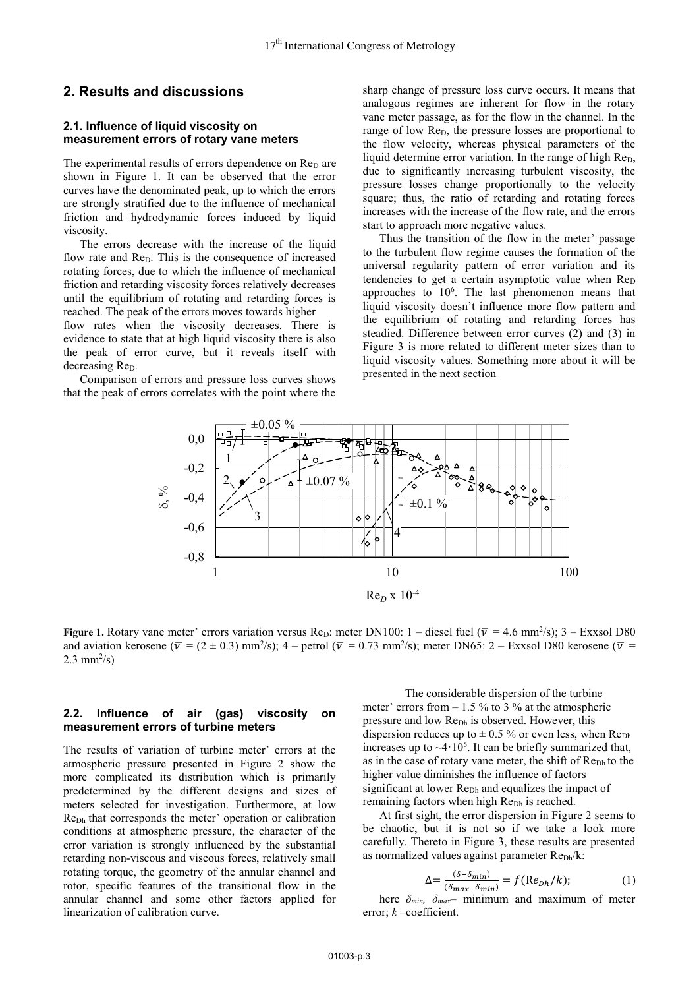## **2. Results and discussions**

#### **2.1. Influence of liquid viscosity on measurement errors of rotary vane meters**

The experimental results of errors dependence on  $Re<sub>D</sub>$  are shown in Figure 1. It can be observed that the error curves have the denominated peak, up to which the errors are strongly stratified due to the influence of mechanical friction and hydrodynamic forces induced by liquid viscosity.

The errors decrease with the increase of the liquid flow rate and  $Re<sub>D</sub>$ . This is the consequence of increased rotating forces, due to which the influence of mechanical friction and retarding viscosity forces relatively decreases until the equilibrium of rotating and retarding forces is reached. The peak of the errors moves towards higher

flow rates when the viscosity decreases. There is evidence to state that at high liquid viscosity there is also the peak of error curve, but it reveals itself with decreasing Re<sub>D</sub>.

Comparison of errors and pressure loss curves shows that the peak of errors correlates with the point where the

sharp change of pressure loss curve occurs. It means that analogous regimes are inherent for flow in the rotary vane meter passage, as for the flow in the channel. In the range of low Re<sub>D</sub>, the pressure losses are proportional to the flow velocity, whereas physical parameters of the liquid determine error variation. In the range of high  $\text{Re}_{\text{D}}$ , due to significantly increasing turbulent viscosity, the pressure losses change proportionally to the velocity square; thus, the ratio of retarding and rotating forces increases with the increase of the flow rate, and the errors start to approach more negative values.

Thus the transition of the flow in the meter' passage to the turbulent flow regime causes the formation of the universal regularity pattern of error variation and its tendencies to get a certain asymptotic value when  $Re_D$ approaches to 10<sup>6</sup>. The last phenomenon means that liquid viscosity doesn't influence more flow pattern and the equilibrium of rotating and retarding forces has steadied. Difference between error curves (2) and (3) in Figure 3 is more related to different meter sizes than to liquid viscosity values. Something more about it will be presented in the next section



Figure 1. Rotary vane meter' errors variation versus Re<sub>D</sub>: meter DN100: 1 – diesel fuel ( $\bar{v}$  = 4.6 mm<sup>2</sup>/s); 3 – Exxsol D80 and aviation kerosene ( $\overline{v} = (2 \pm 0.3)$  mm<sup>2</sup>/s); 4 – petrol ( $\overline{v} = 0.73$  mm<sup>2</sup>/s); meter DN65: 2 – Exxsol D80 kerosene ( $\overline{v} =$ 2.3 mm<sup>2</sup>/s)

### **2.2. Influence of air (gas) viscosity on measurement errors of turbine meters**

The results of variation of turbine meter' errors at the atmospheric pressure presented in Figure 2 show the more complicated its distribution which is primarily predetermined by the different designs and sizes of meters selected for investigation. Furthermore, at low ReDh that corresponds the meter' operation or calibration conditions at atmospheric pressure, the character of the error variation is strongly influenced by the substantial retarding non-viscous and viscous forces, relatively small rotating torque, the geometry of the annular channel and rotor, specific features of the transitional flow in the annular channel and some other factors applied for linearization of calibration curve.

The considerable dispersion of the turbine meter' errors from  $-1.5\%$  to 3 % at the atmospheric pressure and low Re<sub>Dh</sub> is observed. However, this dispersion reduces up to  $\pm$  0.5 % or even less, when Re<sub>Dh</sub> increases up to  $\sim$ 4·10<sup>5</sup>. It can be briefly summarized that, as in the case of rotary vane meter, the shift of Re<sub>Dh</sub> to the higher value diminishes the influence of factors significant at lower Re<sub>Dh</sub> and equalizes the impact of remaining factors when high Re<sub>Dh</sub> is reached.

At first sight, the error dispersion in Figure 2 seems to be chaotic, but it is not so if we take a look more carefully. Thereto in Figure 3, these results are presented as normalized values against parameter Re<sub>Dh</sub>/k:

$$
\Delta = \frac{(\delta - \delta_{min})}{(\delta_{max} - \delta_{min})} = f(\text{Re}_{Dh}/k); \tag{1}
$$

here  $\delta_{min}$ ,  $\delta_{max}$ – minimum and maximum of meter error; *k* –coefficient.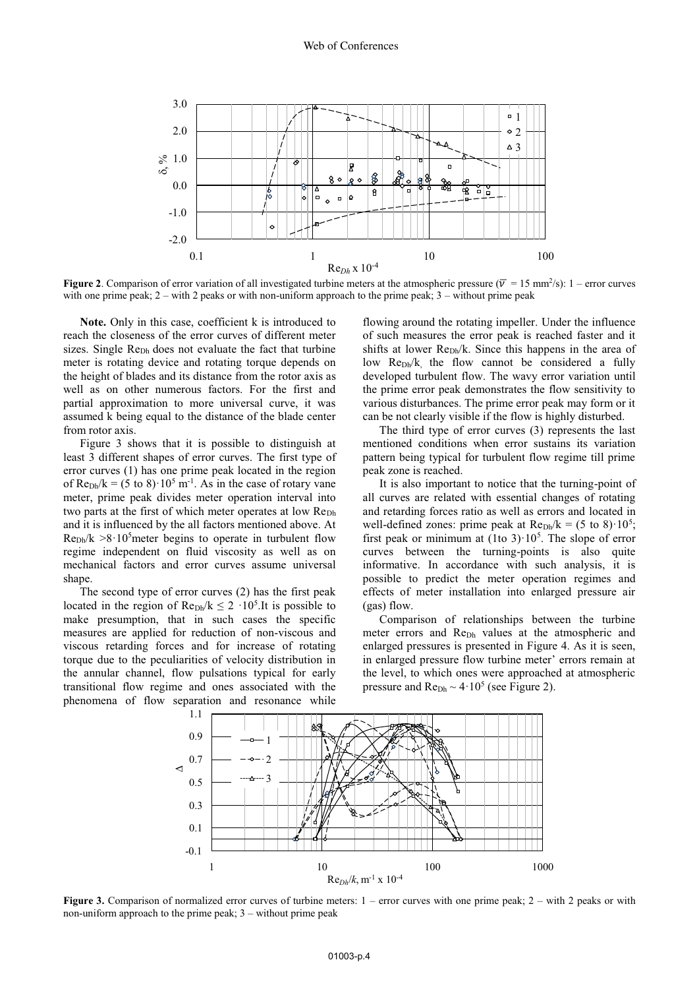

**Figure 2.** Comparison of error variation of all investigated turbine meters at the atmospheric pressure ( $\overline{v}$  = 15 mm<sup>2</sup>/s): 1 – error curves with one prime peak; 2 – with 2 peaks or with non-uniform approach to the prime peak; 3 – without prime peak

**Note.** Only in this case, coefficient k is introduced to reach the closeness of the error curves of different meter sizes. Single Re<sub>Dh</sub> does not evaluate the fact that turbine meter is rotating device and rotating torque depends on the height of blades and its distance from the rotor axis as well as on other numerous factors. For the first and partial approximation to more universal curve, it was assumed k being equal to the distance of the blade center from rotor axis.

Figure 3 shows that it is possible to distinguish at least 3 different shapes of error curves. The first type of error curves (1) has one prime peak located in the region of  $\text{Re}_{\text{Dh}}/k = (5 \text{ to } 8) \cdot 10^5 \text{ m}^{-1}$ . As in the case of rotary vane meter, prime peak divides meter operation interval into two parts at the first of which meter operates at low Re<sub>Dh</sub> and it is influenced by the all factors mentioned above. At  $Re_{Dh}/k > 8.10<sup>5</sup>$  meter begins to operate in turbulent flow regime independent on fluid viscosity as well as on mechanical factors and error curves assume universal shape.

The second type of error curves (2) has the first peak located in the region of  $\text{Re}_{\text{Dh}}/k \leq 2 \cdot 10^5$ . It is possible to make presumption, that in such cases the specific measures are applied for reduction of non-viscous and viscous retarding forces and for increase of rotating torque due to the peculiarities of velocity distribution in the annular channel, flow pulsations typical for early transitional flow regime and ones associated with the phenomena of flow separation and resonance while

flowing around the rotating impeller. Under the influence of such measures the error peak is reached faster and it shifts at lower  $\mathsf{Rep}_{h}/k$ . Since this happens in the area of low  $\text{Rep}_{h}/k$ , the flow cannot be considered a fully developed turbulent flow. The wavy error variation until the prime error peak demonstrates the flow sensitivity to various disturbances. The prime error peak may form or it can be not clearly visible if the flow is highly disturbed.

The third type of error curves (3) represents the last mentioned conditions when error sustains its variation pattern being typical for turbulent flow regime till prime peak zone is reached.

It is also important to notice that the turning-point of all curves are related with essential changes of rotating and retarding forces ratio as well as errors and located in well-defined zones: prime peak at  $\text{Re}_{\text{Dh}}/k = (5 \text{ to } 8) \cdot 10^5$ ; first peak or minimum at  $(1$ to  $3)$  $\cdot 10^5$ . The slope of error curves between the turning-points is also quite informative. In accordance with such analysis, it is possible to predict the meter operation regimes and effects of meter installation into enlarged pressure air (gas) flow.

Comparison of relationships between the turbine meter errors and Re<sub>Dh</sub> values at the atmospheric and enlarged pressures is presented in Figure 4. As it is seen, in enlarged pressure flow turbine meter' errors remain at the level, to which ones were approached at atmospheric pressure and  $\text{Re}_{\text{Dh}} \sim 4.10^5$  (see Figure 2).



Figure 3. Comparison of normalized error curves of turbine meters: 1 – error curves with one prime peak; 2 – with 2 peaks or with non-uniform approach to the prime peak;  $3$  – without prime peak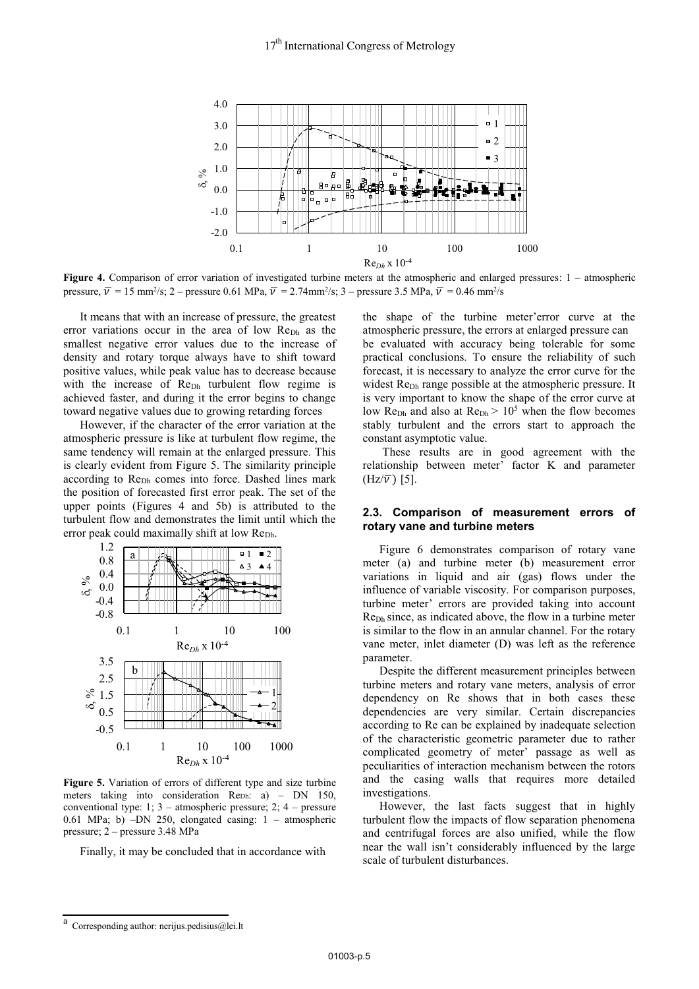

**Figure 4.** Comparison of error variation of investigated turbine meters at the atmospheric and enlarged pressures: 1 – atmospheric pressure,  $\bar{v} = 15$  mm<sup>2</sup>/s; 2 – pressure 0.61 MPa,  $\bar{v} = 2.74$ mm<sup>2</sup>/s; 3 – pressure 3.5 MPa,  $\bar{v} = 0.46$  mm<sup>2</sup>/s

It means that with an increase of pressure, the greatest error variations occur in the area of low Re<sub>Dh</sub> as the smallest negative error values due to the increase of density and rotary torque always have to shift toward positive values, while peak value has to decrease because with the increase of Re<sub>Dh</sub> turbulent flow regime is achieved faster, and during it the error begins to change toward negative values due to growing retarding forces

However, if the character of the error variation at the atmospheric pressure is like at turbulent flow regime, the same tendency will remain at the enlarged pressure. This is clearly evident from Figure 5. The similarity principle according to Re<sub>Dh</sub> comes into force. Dashed lines mark the position of forecasted first error peak. The set of the upper points (Figures 4 and 5b) is attributed to the turbulent flow and demonstrates the limit until which the error peak could maximally shift at low Re<sub>Dh</sub>.



**Figure 5.** Variation of errors of different type and size turbine meters taking into consideration Reph: a) – DN 150, conventional type: 1; 3 – atmospheric pressure; 2; 4 – pressure 0.61 MPa; b) –DN 250, elongated casing: 1 – atmospheric pressure; 2 – pressure 3.48 MPa

Finally, it may be concluded that in accordance with

the shape of the turbine meter'error curve at the atmospheric pressure, the errors at enlarged pressure can be evaluated with accuracy being tolerable for some practical conclusions. To ensure the reliability of such forecast, it is necessary to analyze the error curve for the widest Re<sub>Dh</sub> range possible at the atmospheric pressure. It is very important to know the shape of the error curve at low Re<sub>Dh</sub> and also at  $\text{Re}_{\text{Dh}}$  > 10<sup>5</sup> when the flow becomes stably turbulent and the errors start to approach the constant asymptotic value.

 These results are in good agreement with the relationship between meter' factor K and parameter  $(Hz/\overline{v})$  [5].

#### **2.3. Comparison of measurement errors of rotary vane and turbine meters**

Figure 6 demonstrates comparison of rotary vane meter (a) and turbine meter (b) measurement error variations in liquid and air (gas) flows under the influence of variable viscosity. For comparison purposes, turbine meter' errors are provided taking into account ReDh since, as indicated above, the flow in a turbine meter is similar to the flow in an annular channel. For the rotary vane meter, inlet diameter (D) was left as the reference parameter.

Despite the different measurement principles between turbine meters and rotary vane meters, analysis of error dependency on Re shows that in both cases these dependencies are very similar. Certain discrepancies according to Re can be explained by inadequate selection of the characteristic geometric parameter due to rather complicated geometry of meter' passage as well as peculiarities of interaction mechanism between the rotors and the casing walls that requires more detailed investigations.

However, the last facts suggest that in highly turbulent flow the impacts of flow separation phenomena and centrifugal forces are also unified, while the flow near the wall isn't considerably influenced by the large scale of turbulent disturbances.

Corresponding author: nerijus.pedisius@lei.lt